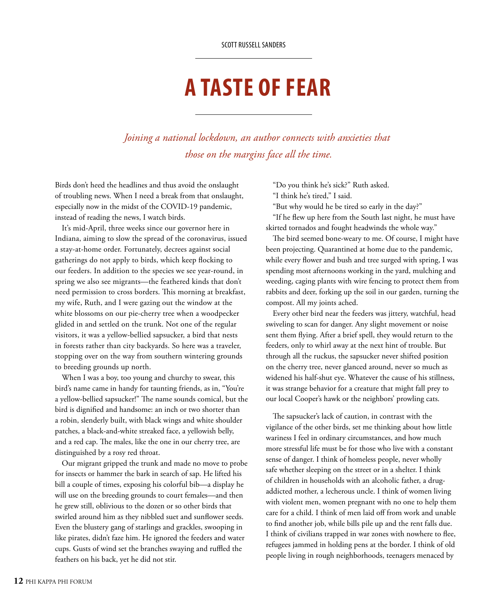## **A TASTE OF FEAR**

*Joining a national lockdown, an author connects with anxieties that those on the margins face all the time.*

Birds don't heed the headlines and thus avoid the onslaught of troubling news. When I need a break from that onslaught, especially now in the midst of the COVID-19 pandemic, instead of reading the news, I watch birds.

It's mid-April, three weeks since our governor here in Indiana, aiming to slow the spread of the coronavirus, issued a stay-at-home order. Fortunately, decrees against social gatherings do not apply to birds, which keep flocking to our feeders. In addition to the species we see year-round, in spring we also see migrants—the feathered kinds that don't need permission to cross borders. This morning at breakfast, my wife, Ruth, and I were gazing out the window at the white blossoms on our pie-cherry tree when a woodpecker glided in and settled on the trunk. Not one of the regular visitors, it was a yellow-bellied sapsucker, a bird that nests in forests rather than city backyards. So here was a traveler, stopping over on the way from southern wintering grounds to breeding grounds up north.

When I was a boy, too young and churchy to swear, this bird's name came in handy for taunting friends, as in, "You're a yellow-bellied sapsucker!" The name sounds comical, but the bird is dignified and handsome: an inch or two shorter than a robin, slenderly built, with black wings and white shoulder patches, a black-and-white streaked face, a yellowish belly, and a red cap. The males, like the one in our cherry tree, are distinguished by a rosy red throat.

Our migrant gripped the trunk and made no move to probe for insects or hammer the bark in search of sap. He lifted his bill a couple of times, exposing his colorful bib—a display he will use on the breeding grounds to court females—and then he grew still, oblivious to the dozen or so other birds that swirled around him as they nibbled suet and sunflower seeds. Even the blustery gang of starlings and grackles, swooping in like pirates, didn't faze him. He ignored the feeders and water cups. Gusts of wind set the branches swaying and ruffled the feathers on his back, yet he did not stir.

"Do you think he's sick?" Ruth asked.

"I think he's tired," I said.

"But why would he be tired so early in the day?"

"If he flew up here from the South last night, he must have skirted tornados and fought headwinds the whole way."

The bird seemed bone-weary to me. Of course, I might have been projecting. Quarantined at home due to the pandemic, while every flower and bush and tree surged with spring, I was spending most afternoons working in the yard, mulching and weeding, caging plants with wire fencing to protect them from rabbits and deer, forking up the soil in our garden, turning the compost. All my joints ached.

Every other bird near the feeders was jittery, watchful, head swiveling to scan for danger. Any slight movement or noise sent them flying. After a brief spell, they would return to the feeders, only to whirl away at the next hint of trouble. But through all the ruckus, the sapsucker never shifted position on the cherry tree, never glanced around, never so much as widened his half-shut eye. Whatever the cause of his stillness, it was strange behavior for a creature that might fall prey to our local Cooper's hawk or the neighbors' prowling cats.

The sapsucker's lack of caution, in contrast with the vigilance of the other birds, set me thinking about how little wariness I feel in ordinary circumstances, and how much more stressful life must be for those who live with a constant sense of danger. I think of homeless people, never wholly safe whether sleeping on the street or in a shelter. I think of children in households with an alcoholic father, a drugaddicted mother, a lecherous uncle. I think of women living with violent men, women pregnant with no one to help them care for a child. I think of men laid off from work and unable to find another job, while bills pile up and the rent falls due. I think of civilians trapped in war zones with nowhere to flee, refugees jammed in holding pens at the border. I think of old people living in rough neighborhoods, teenagers menaced by